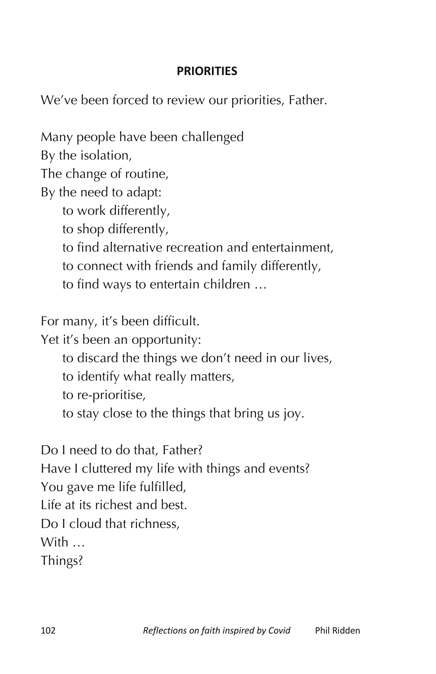## **PRIORITIES**

We've been forced to review our priorities, Father.

Many people have been challenged

By the isolation,

The change of routine,

By the need to adapt:

to work differently,

- to shop differently,
- to find alternative recreation and entertainment,
- to connect with friends and family differently,
- to find ways to entertain children …

For many, it's been difficult.

Yet it's been an opportunity:

- to discard the things we don't need in our lives,
- to identify what really matters,
- to re-prioritise,
- to stay close to the things that bring us joy.

Do I need to do that, Father? Have I cluttered my life with things and events? You gave me life fulfilled, Life at its richest and best. Do I cloud that richness, With … Things?